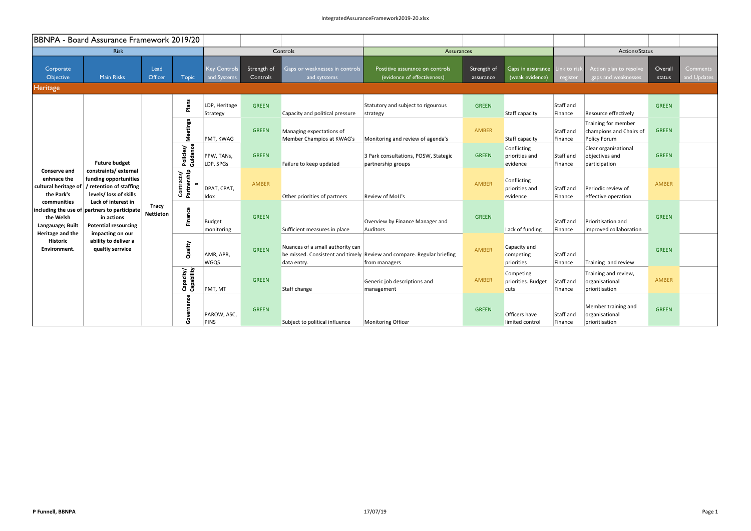|                                                                  | BBNPA - Board Assurance Framework 2019/20                                                                                                       |                                                      |                           |                                    |                          |                                                       |                                                                |                                                                                        |                                            |                                         |                                                                |                                              |                                                          |              |  |
|------------------------------------------------------------------|-------------------------------------------------------------------------------------------------------------------------------------------------|------------------------------------------------------|---------------------------|------------------------------------|--------------------------|-------------------------------------------------------|----------------------------------------------------------------|----------------------------------------------------------------------------------------|--------------------------------------------|-----------------------------------------|----------------------------------------------------------------|----------------------------------------------|----------------------------------------------------------|--------------|--|
|                                                                  | <b>Risk</b>                                                                                                                                     |                                                      |                           |                                    |                          | Controls                                              | <b>Assurances</b>                                              |                                                                                        |                                            |                                         | Actions/Status                                                 |                                              |                                                          |              |  |
| Corporate<br>Objective                                           | <b>Main Risks</b>                                                                                                                               | Lead<br>Officer                                      | <b>Topic</b>              | <b>Key Controls</b><br>and Systems | Strength of<br>Controls  | Gaps or weaknesses in controls<br>and sytstems        | Postitive assurance on controls<br>(evidence of effectiveness) | Strength of<br>assurance                                                               | Gaps in assurance<br>(weak evidence)       | Link to ris<br>register                 | Action plan to resolve<br>gaps and weaknesses                  | Overall<br>status                            | Comments<br>and Updates                                  |              |  |
| <b>Heritage</b>                                                  |                                                                                                                                                 |                                                      |                           |                                    |                          |                                                       |                                                                |                                                                                        |                                            |                                         |                                                                |                                              |                                                          |              |  |
|                                                                  |                                                                                                                                                 |                                                      | Plans                     | LDP, Heritage<br>Strategy          | <b>GREEN</b>             | Capacity and political pressure                       | Statutory and subject to rigourous<br>strategy                 | <b>GREEN</b>                                                                           | <b>Staff capacity</b>                      | Staff and<br>Finance                    | Resource effectively                                           | <b>GREEN</b>                                 |                                                          |              |  |
|                                                                  |                                                                                                                                                 |                                                      | <b>Meetings</b>           | PMT, KWAG                          | <b>GREEN</b>             | Managing expectations of<br>Member Champios at KWAG's | Monitoring and review of agenda's                              | <b>AMBER</b>                                                                           | <b>Staff capacity</b>                      | Staff and<br>Finance                    | Training for member<br>champions and Chairs of<br>Policy Forum | <b>GREEN</b>                                 |                                                          |              |  |
|                                                                  | <b>Future budget</b><br>constraints/external<br>funding opportunities<br>cultural heritage of / retention of staffing<br>levels/ loss of skills |                                                      | Guidance<br>Policies/     | PPW, TANS,<br>LDP, SPGs            | <b>GREEN</b>             | Failure to keep updated                               | 3 Park consultations, POSW, Stategic<br>partnership groups     | <b>GREEN</b>                                                                           | Conflicting<br>priorities and<br>evidence  | Staff and<br>Finance                    | Clear organisational<br>objectives and<br>participation        | <b>GREEN</b>                                 |                                                          |              |  |
| Conserve and<br>enhnace the<br>the Park's                        |                                                                                                                                                 |                                                      | Partnership<br>Contracts/ | DPAT, CPAT,<br>Idox                | AMBER                    | Other priorities of partners                          | Review of MoU's                                                | <b>AMBER</b>                                                                           | Conflicting<br>priorities and<br>evidence  | Staff and<br>Finance                    | Periodic review of<br>effective operation                      | AMBER                                        |                                                          |              |  |
| communities<br>the Welsh<br>Langauage; Built<br>Heritage and the | Lack of interest in<br>including the use of partners to participate<br>in actions<br><b>Potential resourcing</b>                                | <b>Tracy</b><br><b>Nettleton</b><br>impacting on our |                           | Finance                            | Budget<br>monitoring     | <b>GREEN</b>                                          | Sufficient measures in place                                   | Overview by Finance Manager and<br>Auditors                                            | <b>GREEN</b>                               | Lack of funding                         | Staff and<br>Finance                                           | Prioritisation and<br>improved collaboration | <b>GREEN</b>                                             |              |  |
| <b>Historic</b><br>Environment.                                  | ability to deliver a<br>qualtiy serrvice                                                                                                        |                                                      |                           | Quality                            | AMR, APR,<br><b>WGQS</b> | <b>GREEN</b>                                          | Nuances of a small authority can<br>data entry.                | be missed. Consistent and timely Review and compare. Regular briefing<br>from managers | <b>AMBER</b>                               | Capacity and<br>competing<br>priorities | Staff and<br>Finance                                           | Training and review                          | <b>GREEN</b>                                             |              |  |
|                                                                  |                                                                                                                                                 |                                                      |                           |                                    | Capacity/<br>Capability  | PMT, MT                                               | <b>GREEN</b>                                                   | Staff change                                                                           | Generic job descriptions and<br>management | <b>AMBER</b>                            | Competing<br>priorities. Budget<br>cuts                        | Staff and<br>Finance                         | Training and review,<br>organisational<br>prioritisation | <b>AMBER</b> |  |
|                                                                  |                                                                                                                                                 |                                                      | ance<br>Gover             | PAROW, ASC,<br><b>PINS</b>         | <b>GREEN</b>             | Subject to political influence                        | <b>Monitoring Officer</b>                                      | <b>GREEN</b>                                                                           | Officers have<br>limited control           | Staff and<br>Finance                    | Member training and<br>organisational<br>prioritisation        | <b>GREEN</b>                                 |                                                          |              |  |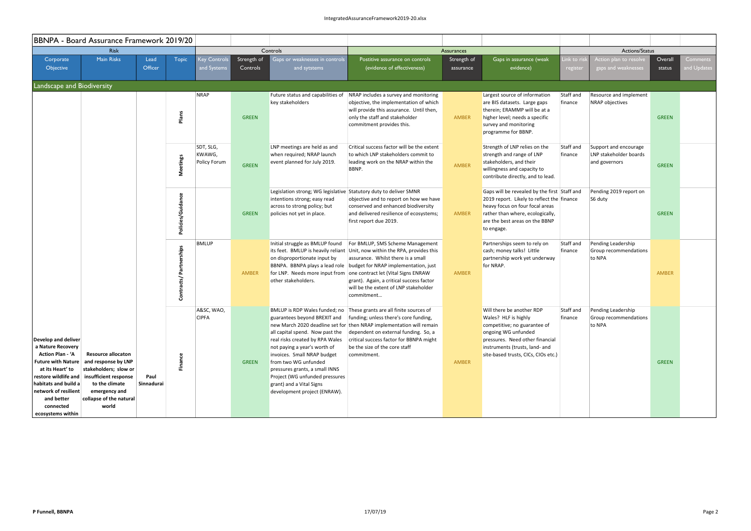|                                                                                                                                                                                           | BBNPA - Board Assurance Framework 2019/20                                                                                                                                                                           |                    |                            |                                     |                         |                                                                                                                                                                                                                                                                                                                           |                                                                                                                                                                                                                                                                                                                                                                                                      |                          |                                                                                                                                                                                                                      |                      |                                                                  |                   |                         |  |
|-------------------------------------------------------------------------------------------------------------------------------------------------------------------------------------------|---------------------------------------------------------------------------------------------------------------------------------------------------------------------------------------------------------------------|--------------------|----------------------------|-------------------------------------|-------------------------|---------------------------------------------------------------------------------------------------------------------------------------------------------------------------------------------------------------------------------------------------------------------------------------------------------------------------|------------------------------------------------------------------------------------------------------------------------------------------------------------------------------------------------------------------------------------------------------------------------------------------------------------------------------------------------------------------------------------------------------|--------------------------|----------------------------------------------------------------------------------------------------------------------------------------------------------------------------------------------------------------------|----------------------|------------------------------------------------------------------|-------------------|-------------------------|--|
|                                                                                                                                                                                           | <b>Risk</b>                                                                                                                                                                                                         |                    |                            |                                     |                         | Controls                                                                                                                                                                                                                                                                                                                  |                                                                                                                                                                                                                                                                                                                                                                                                      | Assurances               |                                                                                                                                                                                                                      | Actions/Status       |                                                                  |                   |                         |  |
| Corporate<br>Objective                                                                                                                                                                    | <b>Main Risks</b>                                                                                                                                                                                                   | Lead<br>Officer    | <b>Topic</b>               | <b>Key Controls</b><br>and Systems  | Strength of<br>Controls | Gaps or weaknesses in controls<br>and sytstems                                                                                                                                                                                                                                                                            | Postitive assurance on controls<br>(evidence of effectiveness)                                                                                                                                                                                                                                                                                                                                       | Strength of<br>assurance | Gaps in assurance (weak<br>evidence)                                                                                                                                                                                 | ink to ri<br>registe | <b>Action plan to resolv</b><br>gaps and weaknesses              | Overall<br>status | Comments<br>and Updates |  |
| Landscape and Biodiversity                                                                                                                                                                |                                                                                                                                                                                                                     |                    |                            |                                     |                         |                                                                                                                                                                                                                                                                                                                           |                                                                                                                                                                                                                                                                                                                                                                                                      |                          |                                                                                                                                                                                                                      |                      |                                                                  |                   |                         |  |
|                                                                                                                                                                                           |                                                                                                                                                                                                                     |                    | Plans                      | <b>NRAP</b>                         | <b>GREEN</b>            | Future status and capabilities of<br>key stakeholders                                                                                                                                                                                                                                                                     | NRAP includes a survey and monitoring<br>objective, the implementation of which<br>will provide this assurance. Until then,<br>only the staff and stakeholder<br>commitment provides this.                                                                                                                                                                                                           | <b>AMBER</b>             | Largest source of information<br>are BIS datasets. Large gaps<br>therein; ERAMMP will be at a<br>higher level; needs a specific<br>survey and monitoring<br>programme for BBNP.                                      | Staff and<br>finance | Resource and implement<br>NRAP objectives                        | <b>GREEN</b>      |                         |  |
|                                                                                                                                                                                           |                                                                                                                                                                                                                     |                    | <b>Meetings</b>            | SDT, SLG,<br>KWAWG,<br>Policy Forum | <b>GREEN</b>            | LNP meetings are held as and<br>when required; NRAP launch<br>event planned for July 2019.                                                                                                                                                                                                                                | Critical success factor will be the extent<br>to which LNP stakeholders commit to<br>leading work on the NRAP within the<br>BBNP.                                                                                                                                                                                                                                                                    | AMBER                    | Strength of LNP relies on the<br>strength and range of LNP<br>stakeholders, and their<br>willingness and capacity to<br>contribute directly, and to lead.                                                            | Staff and<br>finance | Support and encourage<br>LNP stakeholder boards<br>and governors | <b>GREEN</b>      |                         |  |
|                                                                                                                                                                                           |                                                                                                                                                                                                                     |                    | Policies/Guidance          |                                     | <b>GREEN</b>            | Legislation strong; WG legislative Statutory duty to deliver SMNR<br>intentions strong; easy read<br>across to strong policy; but<br>policies not yet in place.                                                                                                                                                           | objective and to report on how we have<br>conserved and enhanced biodiversity<br>and delivered resilience of ecosystems;<br>first report due 2019.                                                                                                                                                                                                                                                   | <b>AMBER</b>             | Gaps will be revealed by the first Staff and<br>2019 report. Likely to reflect the finance<br>heavy focus on four focal areas<br>rather than where, ecologically,<br>are the best areas on the BBNP<br>to engage.    |                      | Pending 2019 report on<br>S6 duty                                | <b>GREEN</b>      |                         |  |
|                                                                                                                                                                                           |                                                                                                                                                                                                                     |                    | Partnerships<br>Contracts/ | <b>BMLUP</b>                        | <b>AMBER</b>            | Initial struggle as BMLUP found<br>on disproportionate input by<br>other stakeholders.                                                                                                                                                                                                                                    | For BMLUP, SMS Scheme Management<br>its feet. BMLUP is heavily reliant Unit, now within the RPA, provides this<br>assurance. Whilst there is a small<br>BBNPA. BBNPA plays a lead role budget for NRAP implementation, just<br>for LNP. Needs more input from one contract let (Vital Signs ENRAW<br>grant). Again, a critical success factor<br>will be the extent of LNP stakeholder<br>commitment | <b>AMBER</b>             | Partnerships seem to rely on<br>cash; money talks! Little<br>partnership work yet underway<br>for NRAP.                                                                                                              | Staff and<br>finance | Pending Leadership<br>Group recommendations<br>to NPA            | <b>AMBER</b>      |                         |  |
| Develop and deliver<br>a Nature Recovery<br><b>Action Plan - 'A</b><br>at its Heart' to<br>habitats and build a<br>network of resilient  <br>and better<br>connected<br>ecosystems within | <b>Resource allocaton</b><br>Future with Nature   and response by LNP<br>stakeholders; slow or<br>restore wildlife and insufficient response<br>to the climate<br>emergency and<br>collapse of the natural<br>world | Paul<br>Sinnadurai | <b>Finance</b>             | A&SC, WAO,<br><b>CIPFA</b>          | <b>GREEN</b>            | guarantees beyond BREXIT and<br>all capital spend. Now past the<br>real risks created by RPA Wales<br>not paying a year's worth of<br>invoices. Small NRAP budget<br>from two WG unfunded<br>pressures grants, a small INNS<br>Project (WG unfunded pressures<br>grant) and a Vital Signs<br>development project (ENRAW). | BMLUP is RDP Wales funded; no These grants are all finite sources of<br>funding; unless there's core funding,<br>new March 2020 deadline set for then NRAP implementation will remain<br>dependent on external funding. So, a<br>critical success factor for BBNPA might<br>be the size of the core staff<br>commitment.                                                                             | <b>AMBER</b>             | Will there be another RDP<br>Wales? HLF is highly<br>competitive; no guarantee of<br>ongoing WG unfunded<br>pressures. Need other financial<br>instruments (trusts, land- and<br>site-based trusts, CICs, CIOs etc.) | Staff and<br>finance | Pending Leadership<br>Group recommendations<br>to NPA            | <b>GREEN</b>      |                         |  |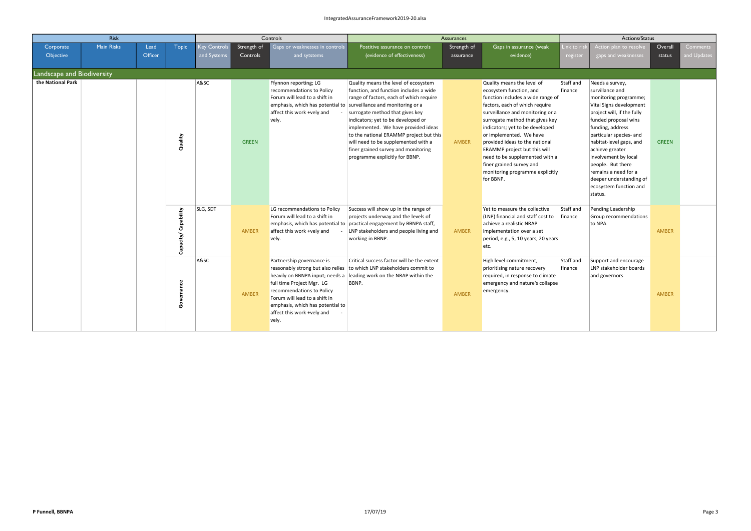|                            | <b>Risk</b> |                 |                         | Controls                    |                         |                                                                                                                                                                                                                                                                         | Assurances                                                                                                                                                                                                                                                                                                                                                                                                                               |                          |                                                                                                                                                                                                                                                                                                                                                                                                                                                   |                        | Actions/Status                                                                                                                                                                                                                                                                                                                                                                 |                   |                                |  |
|----------------------------|-------------|-----------------|-------------------------|-----------------------------|-------------------------|-------------------------------------------------------------------------------------------------------------------------------------------------------------------------------------------------------------------------------------------------------------------------|------------------------------------------------------------------------------------------------------------------------------------------------------------------------------------------------------------------------------------------------------------------------------------------------------------------------------------------------------------------------------------------------------------------------------------------|--------------------------|---------------------------------------------------------------------------------------------------------------------------------------------------------------------------------------------------------------------------------------------------------------------------------------------------------------------------------------------------------------------------------------------------------------------------------------------------|------------------------|--------------------------------------------------------------------------------------------------------------------------------------------------------------------------------------------------------------------------------------------------------------------------------------------------------------------------------------------------------------------------------|-------------------|--------------------------------|--|
| Corporate<br>Objective     | Main Risks  | Lead<br>Officer | <b>Topic</b>            | Key Controls<br>and Systems | Strength of<br>Controls | Gaps or weaknesses in controls<br>and sytstems                                                                                                                                                                                                                          | Postitive assurance on controls<br>(evidence of effectiveness)                                                                                                                                                                                                                                                                                                                                                                           | Strength of<br>assurance | Gaps in assurance (weak<br>evidence)                                                                                                                                                                                                                                                                                                                                                                                                              | Link to ri<br>register | Action plan to resolve<br>gaps and weaknesses                                                                                                                                                                                                                                                                                                                                  | Overall<br>status | <b>Comments</b><br>and Updates |  |
| Landscape and Biodiversity |             |                 |                         |                             |                         |                                                                                                                                                                                                                                                                         |                                                                                                                                                                                                                                                                                                                                                                                                                                          |                          |                                                                                                                                                                                                                                                                                                                                                                                                                                                   |                        |                                                                                                                                                                                                                                                                                                                                                                                |                   |                                |  |
| the National Park          |             |                 | Quality                 | A&SC                        | <b>GREEN</b>            | Ffynnon reporting; LG<br>recommendations to Policy<br>Forum will lead to a shift in<br>emphasis, which has potential to<br>affect this work +vely and<br>vely.                                                                                                          | Quality means the level of ecosystem<br>function, and function includes a wide<br>range of factors, each of which require<br>surveillance and monitoring or a<br>surrogate method that gives key<br>indicators; yet to be developed or<br>implemented. We have provided ideas<br>to the national ERAMMP project but this<br>will need to be supplemented with a<br>finer grained survey and monitoring<br>programme explicitly for BBNP. | <b>AMBER</b>             | Quality means the level of<br>ecosystem function, and<br>function includes a wide range of<br>factors, each of which require<br>surveillance and monitoring or a<br>surrogate method that gives key<br>indicators; yet to be developed<br>or implemented. We have<br>provided ideas to the national<br>ERAMMP project but this will<br>need to be supplemented with a<br>finer grained survey and<br>monitoring programme explicitly<br>for BBNP. | Staff and<br>finance   | Needs a survey,<br>survillance and<br>monitoring programme;<br>Vital Signs development<br>project will, if the fully<br>funded proposal wins<br>funding, address<br>particular species- and<br>habitat-level gaps, and<br>achieve greater<br>involvement by local<br>people. But there<br>remains a need for a<br>deeper understanding of<br>ecosystem function and<br>status. | <b>GREEN</b>      |                                |  |
|                            |             |                 | Capability<br>Capacity/ | SLG, SDT                    | AMBER                   | LG recommendations to Policy<br>Forum will lead to a shift in<br>emphasis, which has potential to<br>affect this work +vely and<br>vely.                                                                                                                                | Success will show up in the range of<br>projects underway and the levels of<br>practical engagement by BBNPA staff,<br>LNP stakeholders and people living and<br>working in BBNP.                                                                                                                                                                                                                                                        | <b>AMBER</b>             | Yet to measure the collective<br>(LNP) financial and staff cost to<br>achieve a realistic NRAP<br>implementation over a set<br>period, e.g., 5, 10 years, 20 years<br>etc.                                                                                                                                                                                                                                                                        | Staff and<br>finance   | Pending Leadership<br>Group recommendations<br>to NPA                                                                                                                                                                                                                                                                                                                          | <b>AMBER</b>      |                                |  |
|                            |             |                 | Governance              | A&SC                        | <b>AMBER</b>            | Partnership governance is<br>reasonably strong but also relies<br>heavily on BBNPA input; needs a<br>full time Project Mgr. LG<br>recommendations to Policy<br>Forum will lead to a shift in<br>emphasis, which has potential to<br>affect this work +vely and<br>vely. | Critical success factor will be the extent<br>to which LNP stakeholders commit to<br>leading work on the NRAP within the<br>BBNP.                                                                                                                                                                                                                                                                                                        | <b>AMBER</b>             | High level commitment,<br>prioritising nature recovery<br>required, in response to climate<br>emergency and nature's collapse<br>emergency.                                                                                                                                                                                                                                                                                                       | Staff and<br>finance   | Support and encourage<br>LNP stakeholder boards<br>and governors                                                                                                                                                                                                                                                                                                               | <b>AMBER</b>      |                                |  |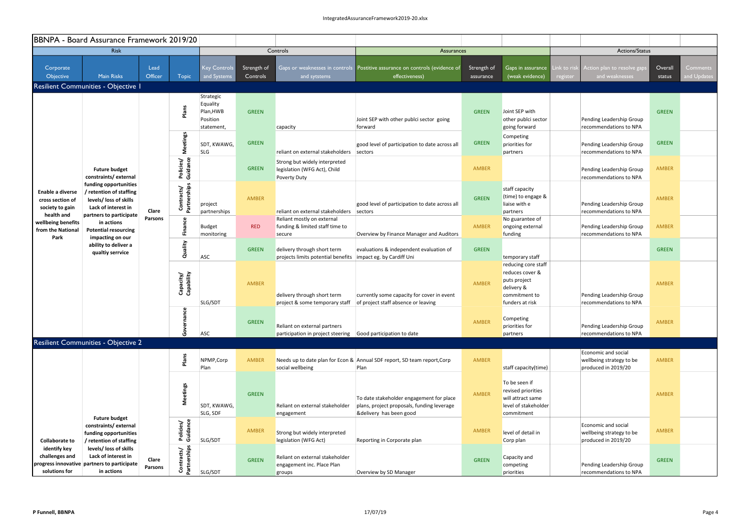|                                                                       | BBNPA - Board Assurance Framework 2019/20                                                                                    |                  |                                    |                                                              |                                                               |                                                                                              |                                                                                                                   |                                                                                                          |                                                                                                |                                                                                            |                   |                         |  |
|-----------------------------------------------------------------------|------------------------------------------------------------------------------------------------------------------------------|------------------|------------------------------------|--------------------------------------------------------------|---------------------------------------------------------------|----------------------------------------------------------------------------------------------|-------------------------------------------------------------------------------------------------------------------|----------------------------------------------------------------------------------------------------------|------------------------------------------------------------------------------------------------|--------------------------------------------------------------------------------------------|-------------------|-------------------------|--|
|                                                                       | <b>Risk</b>                                                                                                                  |                  |                                    |                                                              |                                                               | Controls                                                                                     | Assurances                                                                                                        |                                                                                                          |                                                                                                | Actions/Status                                                                             |                   |                         |  |
| Corporate<br>Objective                                                | <b>Main Risks</b>                                                                                                            | Lead<br>Officer  | <b>Topic</b>                       | <b>Key Controls</b><br>and Systems                           | Strength of<br>Controls                                       | and sytstems                                                                                 | Gaps or weaknesses in controls Postitive assurance on controls (evidence of<br>effectiveness)                     | Strength of<br>assurance                                                                                 | Gaps in assurance<br>(weak evidence)                                                           | Link to ris<br>Action plan to resolve gaps<br>and weaknesses<br>$\sqrt{\mathsf{register}}$ | Overall<br>status | Comments<br>and Updates |  |
|                                                                       | Resilient Communities - Objective I                                                                                          |                  |                                    |                                                              |                                                               |                                                                                              |                                                                                                                   |                                                                                                          |                                                                                                |                                                                                            |                   |                         |  |
|                                                                       |                                                                                                                              |                  | Plans                              | Strategic<br>Equality<br>Plan, HWB<br>Position<br>statement, | <b>GREEN</b>                                                  | capacity                                                                                     | Joint SEP with other publci sector going<br>forward                                                               | <b>GREEN</b>                                                                                             | Joint SEP with<br>other publci sector<br>going forward                                         | Pending Leadership Group<br>recommendations to NPA                                         | <b>GREEN</b>      |                         |  |
|                                                                       |                                                                                                                              |                  | Meetings                           | SDT, KWAWG,<br><b>SLG</b>                                    | <b>GREEN</b>                                                  | reliant on external stakeholders                                                             | good level of participation to date across all<br>sectors                                                         | <b>GREEN</b>                                                                                             | Competing<br>priorities for<br>partners                                                        | Pending Leadership Group<br>recommendations to NPA                                         | <b>GREEN</b>      |                         |  |
|                                                                       | <b>Future budget</b><br>constraints/external                                                                                 |                  | Policies/<br>Guidance              |                                                              | <b>GREEN</b>                                                  | Strong but widely interpreted<br>legislation (WFG Act), Child<br><b>Poverty Duty</b>         |                                                                                                                   | AMBER                                                                                                    |                                                                                                | Pending Leadership Group<br>recommendations to NPA                                         | <b>AMBER</b>      |                         |  |
| Enable a diverse<br>cross section of<br>society to gain<br>health and | funding opportunities<br>/ retention of staffing<br>levels/ loss of skills<br>Lack of interest in<br>partners to participate | Clare            | Contracts/<br>Partnerships         | project<br>partnerships                                      | AMBER                                                         | reliant on external stakeholders                                                             | good level of participation to date across all<br>sectors                                                         | <b>GREEN</b>                                                                                             | staff capacity<br>(time) to engage &<br>liaise with e<br>partners                              | Pending Leadership Group<br>recommendations to NPA                                         | <b>AMBER</b>      |                         |  |
| wellbeing benefits<br>from the National<br>Park                       | in actions<br><b>Potential resourcing</b><br>impacting on our<br>ability to deliver a<br>qualtiy serrvice                    | Parsons          | Finance                            | <b>Budget</b><br>monitoring                                  | <b>RED</b>                                                    | Reliant mostly on external<br>funding & limited staff time to<br>secure                      | Overview by Finance Manager and Auditors                                                                          | AMBER                                                                                                    | No guarantee of<br>ongoing external<br>funding                                                 | Pending Leadership Group<br>recommendations to NPA                                         | <b>AMBER</b>      |                         |  |
|                                                                       |                                                                                                                              |                  | Quality                            |                                                              | <b>ASC</b>                                                    | <b>GREEN</b>                                                                                 | delivery through short term<br>projects limits potential benefits   impact eg. by Cardiff Uni                     | evaluations & independent evaluation of                                                                  | <b>GREEN</b>                                                                                   | temporary staff                                                                            |                   | <b>GREEN</b>            |  |
|                                                                       |                                                                                                                              |                  | Capacity/<br>Capability<br>SLG/SDT | <b>AMBER</b>                                                 | delivery through short term<br>project & some temporary staff | currently some capacity for cover in event<br>of project staff absence or leaving            | AMBER                                                                                                             | reducing core staff<br>reduces cover &<br>puts project<br>delivery &<br>commitment to<br>funders at risk | Pending Leadership Group<br>recommendations to NPA                                             | AMBER                                                                                      |                   |                         |  |
|                                                                       |                                                                                                                              |                  | ပ္မ<br>Governa                     | <b>ASC</b>                                                   | <b>GREEN</b>                                                  | Reliant on external partners<br>participation in project steering Good participation to date |                                                                                                                   | AMBER                                                                                                    | Competing<br>priorities for<br>partners                                                        | Pending Leadership Group<br>recommendations to NPA                                         | <b>AMBER</b>      |                         |  |
|                                                                       | <b>Resilient Communities - Objective 2</b>                                                                                   |                  |                                    |                                                              |                                                               |                                                                                              |                                                                                                                   |                                                                                                          |                                                                                                |                                                                                            |                   |                         |  |
|                                                                       |                                                                                                                              |                  | Plans                              | NPMP, Corp<br>Plan                                           | AMBER                                                         | social wellbeing                                                                             | Needs up to date plan for Econ & Annual SDF report, SD team report, Corp<br>Plan                                  | AMBER                                                                                                    | staff capacity(time)                                                                           | Economic and social<br>wellbeing strategy to be<br>produced in 2019/20                     | <b>AMBER</b>      |                         |  |
|                                                                       | <b>Future budget</b>                                                                                                         |                  | <b>Meetings</b>                    | SDT, KWAWG,<br>SLG, SDF                                      | <b>GREEN</b>                                                  | Reliant on external stakeholder<br>engagement                                                | To date stakeholder engagement for place<br>plans, project proposals, funding leverage<br>&delivery has been good | AMBER                                                                                                    | To be seen if<br>revised priorities<br>will attract same<br>level of stakeholder<br>commitment |                                                                                            | AMBER             |                         |  |
| <b>Collaborate to</b>                                                 | constraints/external<br>funding opportunities<br>/ retention of staffing                                                     |                  | Policies/<br>Guidance              | SLG/SDT                                                      | AMBER                                                         | Strong but widely interpreted<br>legislation (WFG Act)                                       | Reporting in Corporate plan                                                                                       | AMBER                                                                                                    | level of detail in<br>Corp plan                                                                | Economic and social<br>wellbeing strategy to be<br>produced in 2019/20                     | AMBER             |                         |  |
| identify key<br>challenges and<br>solutions for                       | levels/ loss of skills<br>Lack of interest in<br>progress innovative partners to participate<br>in actions                   | Clare<br>Parsons | Contracts/<br>Partnerships         | SLG/SDT                                                      | <b>GREEN</b>                                                  | Reliant on external stakeholder<br>engagement inc. Place Plan<br>groups                      | Overview by SD Manager                                                                                            | <b>GREEN</b>                                                                                             | Capacity and<br>competing<br>priorities                                                        | Pending Leadership Group<br>recommendations to NPA                                         | <b>GREEN</b>      |                         |  |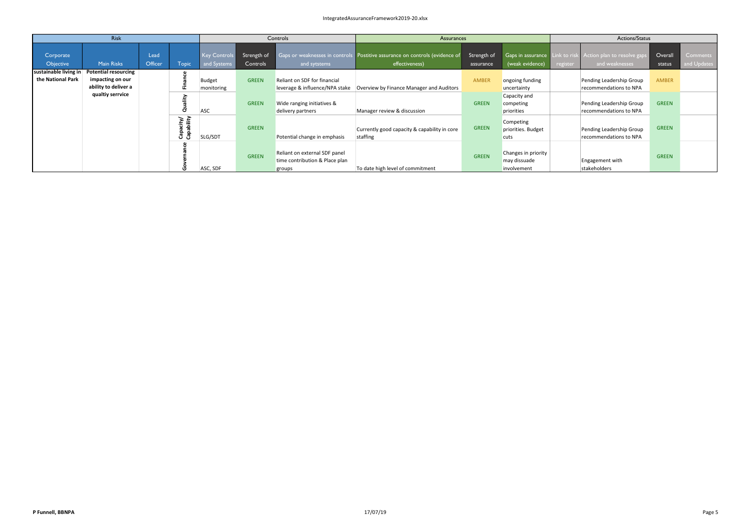|                                            | <b>Risk</b>                                                             |                 |                         |                                    |                         | Controls                                                                  | Assurances                                                                                    |                          |                                                    | Actions/Status |                                                                              |                   |                         |
|--------------------------------------------|-------------------------------------------------------------------------|-----------------|-------------------------|------------------------------------|-------------------------|---------------------------------------------------------------------------|-----------------------------------------------------------------------------------------------|--------------------------|----------------------------------------------------|----------------|------------------------------------------------------------------------------|-------------------|-------------------------|
| Corporate<br>Objective                     | <b>Main Risks</b>                                                       | Lead<br>Officer | <b>Topic</b>            | <b>Key Controls</b><br>and Systems | Strength of<br>Controls | and sytstems                                                              | Gaps or weaknesses in controls Postitive assurance on controls (evidence of<br>effectiveness) | Strength of<br>assurance | (weak evidence)                                    | register       | Gaps in assurance Link to risk Action plan to resolve gaps<br>and weaknesses | Overall<br>status | Comments<br>and Updates |
| sustainable living in<br>the National Park | <b>Potential resourcing</b><br>impacting on our<br>ability to deliver a |                 | - 6                     | Budget<br>monitoring               | <b>GREEN</b>            | <b>Reliant on SDF for financial</b><br>leverage & influence/NPA stake     | Overview by Finance Manager and Auditors                                                      | AMBER                    | ongoing funding<br>uncertainty                     |                | Pending Leadership Group<br>recommendations to NPA                           | <b>AMBER</b>      |                         |
|                                            | qualtiy serrvice                                                        |                 | ality<br>ā              | ASC                                | <b>GREEN</b>            | Wide ranging initiatives &<br>delivery partners                           | Manager review & discussion                                                                   | <b>GREEN</b>             | Capacity and<br>competing<br>priorities            |                | Pending Leadership Group<br>recommendations to NPA                           | <b>GREEN</b>      |                         |
|                                            |                                                                         |                 | Capacity/<br>Capability | SLG/SDT                            | <b>GREEN</b>            | Potential change in emphasis                                              | Currently good capacity & capability in core<br>staffing                                      | <b>GREEN</b>             | Competing<br>priorities. Budget<br>cuts            |                | Pending Leadership Group<br>recommendations to NPA                           | <b>GREEN</b>      |                         |
|                                            |                                                                         |                 |                         | ASC, SDF                           | <b>GREEN</b>            | Reliant on external SDF panel<br>time contribution & Place plan<br>groups | To date high level of commitment                                                              | <b>GREEN</b>             | Changes in priority<br>may dissuade<br>involvement |                | Engagement with<br>stakeholders                                              | <b>GREEN</b>      |                         |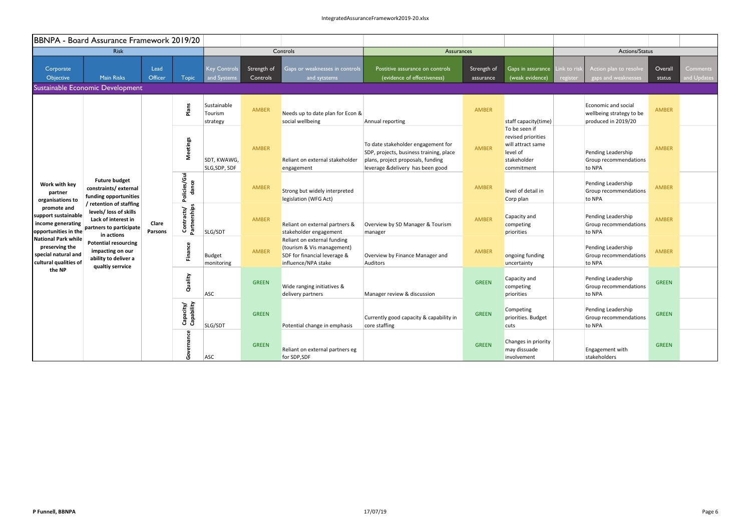|                                                                                       | BBNPA - Board Assurance Framework 2019/20                                                                         |                         |                            |                                    |                         |                                                                                                                  |                                                                                                                                                        |                          |                                                                                                   |                        |                                                                        |                   |                         |
|---------------------------------------------------------------------------------------|-------------------------------------------------------------------------------------------------------------------|-------------------------|----------------------------|------------------------------------|-------------------------|------------------------------------------------------------------------------------------------------------------|--------------------------------------------------------------------------------------------------------------------------------------------------------|--------------------------|---------------------------------------------------------------------------------------------------|------------------------|------------------------------------------------------------------------|-------------------|-------------------------|
|                                                                                       | <b>Risk</b>                                                                                                       |                         |                            |                                    |                         | Controls                                                                                                         | Assurances                                                                                                                                             |                          |                                                                                                   | Actions/Status         |                                                                        |                   |                         |
| Corporate<br>Objective                                                                | <b>Main Risks</b>                                                                                                 | Lead<br>Officer         | <b>Topic</b>               | <b>Key Controls</b><br>and Systems | Strength of<br>Controls | Gaps or weaknesses in controls<br>and sytstems                                                                   | Postitive assurance on controls<br>(evidence of effectiveness)                                                                                         | Strength of<br>assurance | Gaps in assurance<br>(weak evidence)                                                              | ink to ris<br>register | Action plan to resolve<br>gaps and weaknesses                          | Overall<br>status | Comments<br>and Updates |
|                                                                                       | Sustainable Economic Development                                                                                  |                         |                            |                                    |                         |                                                                                                                  |                                                                                                                                                        |                          |                                                                                                   |                        |                                                                        |                   |                         |
|                                                                                       |                                                                                                                   |                         | Plans                      | Sustainable<br>Tourism<br>strategy | AMBER                   | Needs up to date plan for Econ &<br>social wellbeing                                                             | Annual reporting                                                                                                                                       | AMBER                    | staff capacity(time)                                                                              |                        | Economic and social<br>wellbeing strategy to be<br>produced in 2019/20 | <b>AMBER</b>      |                         |
|                                                                                       |                                                                                                                   |                         | <b>Meetings</b>            | SDT, KWAWG,<br>SLG, SDP, SDF       | AMBER                   | Reliant on external stakeholder<br>engagement                                                                    | To date stakeholder engagement for<br>SDP, projects, business training, place<br>plans, project proposals, funding<br>leverage &delivery has been good | <b>AMBER</b>             | To be seen if<br>revised priorities<br>will attract same<br>level of<br>stakeholder<br>commitment |                        | Pending Leadership<br>Group recommendations<br>to NPA                  | <b>AMBER</b>      |                         |
| Work with key<br>partner<br>organisations to                                          | <b>Future budget</b><br>constraints/external<br>funding opportunities                                             |                         | Policies/Gui<br>dance      |                                    | AMBER                   | Strong but widely interpreted<br>legislation (WFG Act)                                                           |                                                                                                                                                        | AMBER                    | level of detail in<br>Corp plan                                                                   |                        | Pending Leadership<br>Group recommendations<br>to NPA                  | <b>AMBER</b>      |                         |
| promote and<br>support sustainable<br>income generating<br>opportunities in the       | / retention of staffing<br>levels/ loss of skills<br>Lack of interest in<br>partners to participate<br>in actions | Clare<br><b>Parsons</b> | Partnerships<br>Contracts/ | SLG/SDT                            | AMBER                   | Reliant on external partners &<br>stakeholder engagement                                                         | Overview by SD Manager & Tourism<br>manager                                                                                                            | AMBER                    | Capacity and<br>competing<br>priorities                                                           |                        | Pending Leadership<br>Group recommendations<br>to NPA                  | AMBER             |                         |
| National Park while<br>preserving the<br>special natural and<br>cultural qualities of | <b>Potential resourcing</b><br>impacting on our<br>ability to deliver a<br>qualtiy serrvice                       |                         | Finance                    | Budget<br>monitoring               | AMBER                   | Reliant on external funding<br>(tourism & Vis management)<br>SDF for financial leverage &<br>influence/NPA stake | Overview by Finance Manager and<br>Auditors                                                                                                            | <b>AMBER</b>             | ongoing funding<br>uncertainty                                                                    |                        | Pending Leadership<br>Group recommendations<br>to NPA                  | <b>AMBER</b>      |                         |
| the NP                                                                                |                                                                                                                   |                         | Quality                    | ASC                                | <b>GREEN</b>            | Wide ranging initiatives &<br>delivery partners                                                                  | Manager review & discussion                                                                                                                            | <b>GREEN</b>             | Capacity and<br>competing<br>priorities                                                           |                        | Pending Leadership<br>Group recommendations<br>to NPA                  | <b>GREEN</b>      |                         |
|                                                                                       |                                                                                                                   |                         | Capacity/<br>Capability    | SLG/SDT                            | <b>GREEN</b>            | Potential change in emphasis                                                                                     | Currently good capacity & capability in<br>core staffing                                                                                               | <b>GREEN</b>             | Competing<br>priorities. Budget<br>cuts                                                           |                        | Pending Leadership<br>Group recommendations<br>to NPA                  | <b>GREEN</b>      |                         |
|                                                                                       |                                                                                                                   |                         | ance<br>Gover              | ASC                                | <b>GREEN</b>            | Reliant on external partners eg<br>for SDP,SDF                                                                   |                                                                                                                                                        | <b>GREEN</b>             | Changes in priority<br>may dissuade<br>involvement                                                |                        | Engagement with<br>stakeholders                                        | <b>GREEN</b>      |                         |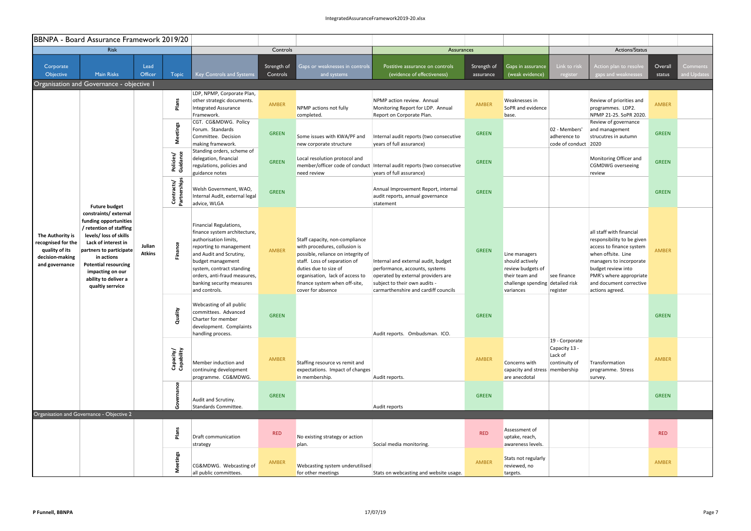|                                                                                               | BBNPA - Board Assurance Framework 2019/20                                                                                                                                                                                                                         |                         |                            |                                                                                                    |                                                                                                                        |                                                                                     |                                                                                                                                                                                                                                                                       |                                |                                                                                                                                                                                                                                                         |                                                                                                                                                                                      |                                                                         |                                                                                                                          |                         |                                                                                                                                                                                                                                    |       |  |
|-----------------------------------------------------------------------------------------------|-------------------------------------------------------------------------------------------------------------------------------------------------------------------------------------------------------------------------------------------------------------------|-------------------------|----------------------------|----------------------------------------------------------------------------------------------------|------------------------------------------------------------------------------------------------------------------------|-------------------------------------------------------------------------------------|-----------------------------------------------------------------------------------------------------------------------------------------------------------------------------------------------------------------------------------------------------------------------|--------------------------------|---------------------------------------------------------------------------------------------------------------------------------------------------------------------------------------------------------------------------------------------------------|--------------------------------------------------------------------------------------------------------------------------------------------------------------------------------------|-------------------------------------------------------------------------|--------------------------------------------------------------------------------------------------------------------------|-------------------------|------------------------------------------------------------------------------------------------------------------------------------------------------------------------------------------------------------------------------------|-------|--|
|                                                                                               | <b>Risk</b>                                                                                                                                                                                                                                                       |                         |                            |                                                                                                    | Controls                                                                                                               |                                                                                     | Assurances                                                                                                                                                                                                                                                            |                                |                                                                                                                                                                                                                                                         |                                                                                                                                                                                      | Actions/Status                                                          |                                                                                                                          |                         |                                                                                                                                                                                                                                    |       |  |
| Corporate<br>Objective                                                                        | <b>Main Risks</b>                                                                                                                                                                                                                                                 | Lead<br>Officer         | <b>Topic</b>               | Key Controls and Systems                                                                           | Strength of<br>Controls                                                                                                | Gaps or weaknesses in controls<br>and systems                                       | Postitive assurance on controls<br>(evidence of effectiveness)                                                                                                                                                                                                        | Strength of<br>assurance       | Gaps in assurance<br>(weak evidence)                                                                                                                                                                                                                    | Link to risk<br>register                                                                                                                                                             | Action plan to resolv<br>gaps and weaknesses                            | Overall<br>status                                                                                                        | Comments<br>and Updates |                                                                                                                                                                                                                                    |       |  |
|                                                                                               | Organisation and Governance - objective I                                                                                                                                                                                                                         |                         |                            |                                                                                                    |                                                                                                                        |                                                                                     |                                                                                                                                                                                                                                                                       |                                |                                                                                                                                                                                                                                                         |                                                                                                                                                                                      |                                                                         |                                                                                                                          |                         |                                                                                                                                                                                                                                    |       |  |
|                                                                                               |                                                                                                                                                                                                                                                                   |                         | Plans                      | LDP, NPMP, Corporate Plan,<br>other strategic documents.<br>Integrated Assurance<br>Framework.     | AMBER                                                                                                                  | NPMP actions not fully<br>completed.                                                | NPMP action review. Annual<br>Monitoring Report for LDP. Annual<br>Report on Corporate Plan.                                                                                                                                                                          | AMBER                          | Weaknesses in<br>SoPR and evidence<br>base.                                                                                                                                                                                                             |                                                                                                                                                                                      | Review of priorities and<br>programmes. LDP2.<br>NPMP 21-25. SoPR 2020. | AMBER                                                                                                                    |                         |                                                                                                                                                                                                                                    |       |  |
|                                                                                               |                                                                                                                                                                                                                                                                   |                         | <b>Meetings</b>            | CGT. CG&MDWG. Policy<br>Forum. Standards<br>Committee. Decision<br>making framework.               | <b>GREEN</b>                                                                                                           | Some issues with KWA/PF and<br>new corporate structure                              | Internal audit reports (two consecutive<br>years of full assurance)                                                                                                                                                                                                   | <b>GREEN</b>                   |                                                                                                                                                                                                                                                         | 02 - Members'<br>adherence to<br>code of conduct 2020                                                                                                                                | Review of governance<br>and management<br>strucutres in autumn          | <b>GREEN</b>                                                                                                             |                         |                                                                                                                                                                                                                                    |       |  |
|                                                                                               |                                                                                                                                                                                                                                                                   |                         | Policies/<br>Guidance      | Standing orders, scheme of<br>delegation, financial<br>regulations, policies and<br>guidance notes | <b>GREEN</b>                                                                                                           | Local resolution protocol and<br>need review                                        | member/officer code of conduct   Internal audit reports (two consecutive<br>years of full assurance)                                                                                                                                                                  | <b>GREEN</b>                   |                                                                                                                                                                                                                                                         |                                                                                                                                                                                      | Monitoring Officer and<br><b>CGMDWG</b> overseeing<br>review            | <b>GREEN</b>                                                                                                             |                         |                                                                                                                                                                                                                                    |       |  |
|                                                                                               | <b>Future budget</b>                                                                                                                                                                                                                                              |                         | Contracts/<br>Partnerships | Welsh Government, WAO,<br>Internal Audit, external legal<br>advice, WLGA                           | <b>GREEN</b>                                                                                                           |                                                                                     | Annual Improvement Report, internal<br>audit reports, annual governance<br>statement                                                                                                                                                                                  | <b>GREEN</b>                   |                                                                                                                                                                                                                                                         |                                                                                                                                                                                      |                                                                         | <b>GREEN</b>                                                                                                             |                         |                                                                                                                                                                                                                                    |       |  |
| The Authority is<br>recognised for the<br>quality of its<br>decision-making<br>and governance | constraints/external<br>funding opportunities<br>/ retention of staffing<br>levels/ loss of skills<br>Lack of interest in<br>partners to participate<br>in actions<br><b>Potential resourcing</b><br>impacting on our<br>ability to deliver a<br>qualtiy serrvice | Julian<br><b>Atkins</b> | ξ<br>aة                    |                                                                                                    |                                                                                                                        |                                                                                     | Financial Regulations,<br>finance system architecture,<br>authorisation limits,<br>reporting to management<br>and Audit and Scrutiny,<br>budget management<br>system, contract standing<br>orders, anti-fraud measures,<br>banking security measures<br>and controls. | AMBER                          | Staff capacity, non-compliance<br>with procedures, collusion is<br>possible, reliance on integrity of<br>staff. Loss of separation of<br>duties due to size of<br>organisation, lack of access to<br>finance system when off-site,<br>cover for absence | Internal and external audit, budget<br>performance, accounts, systems<br>operated by external providers are<br>subject to their own audits -<br>carmarthenshire and cardiff councils | <b>GREEN</b>                                                            | Line managers<br>should actively<br>review budgets of<br>their team and<br>challenge spending detailed risk<br>variances | see finance<br>register | all staff with financial<br>responsibility to be given<br>access to finance system<br>when offsite. Line<br>managers to incorporate<br>budget review into<br>PMR's where appropriate<br>and document corrective<br>actions agreed. | AMBER |  |
|                                                                                               |                                                                                                                                                                                                                                                                   |                         |                            |                                                                                                    | Webcasting of all public<br>committees. Advanced<br>Charter for member<br>development. Complaints<br>handling process. | <b>GREEN</b>                                                                        |                                                                                                                                                                                                                                                                       | Audit reports. Ombudsman. ICO. | GREEN                                                                                                                                                                                                                                                   |                                                                                                                                                                                      |                                                                         |                                                                                                                          | GREEN                   |                                                                                                                                                                                                                                    |       |  |
|                                                                                               |                                                                                                                                                                                                                                                                   |                         | Capacity/<br>Capability    | Member induction and<br>continuing development<br>programme. CG&MDWG.                              | AMBER                                                                                                                  | Staffing resource vs remit and<br>expectations. Impact of changes<br>in membership. | Audit reports.                                                                                                                                                                                                                                                        | AMBER                          | Concerns with<br>capacity and stress membership<br>are anecdotal                                                                                                                                                                                        | 19 - Corporate<br>Capacity 13 -<br>Lack of<br>continuity of                                                                                                                          | Transformation<br>programme. Stress<br>survey.                          | AMBER                                                                                                                    |                         |                                                                                                                                                                                                                                    |       |  |
|                                                                                               |                                                                                                                                                                                                                                                                   |                         |                            | Audit and Scrutiny.<br>Standards Committee.                                                        | <b>GREEN</b>                                                                                                           |                                                                                     | Audit reports                                                                                                                                                                                                                                                         | <b>GREEN</b>                   |                                                                                                                                                                                                                                                         |                                                                                                                                                                                      |                                                                         | <b>GREEN</b>                                                                                                             |                         |                                                                                                                                                                                                                                    |       |  |
|                                                                                               | Organisation and Governance - Objective 2                                                                                                                                                                                                                         |                         |                            |                                                                                                    |                                                                                                                        |                                                                                     |                                                                                                                                                                                                                                                                       |                                |                                                                                                                                                                                                                                                         |                                                                                                                                                                                      |                                                                         |                                                                                                                          |                         |                                                                                                                                                                                                                                    |       |  |
|                                                                                               |                                                                                                                                                                                                                                                                   |                         | Plans                      | Draft communication<br>strategy                                                                    | <b>RED</b>                                                                                                             | No existing strategy or action<br>plan.                                             | Social media monitoring.                                                                                                                                                                                                                                              | <b>RED</b>                     | Assessment of<br>uptake, reach,<br>awareness levels.                                                                                                                                                                                                    |                                                                                                                                                                                      |                                                                         | <b>RED</b>                                                                                                               |                         |                                                                                                                                                                                                                                    |       |  |
|                                                                                               |                                                                                                                                                                                                                                                                   |                         | eetings                    | CG&MDWG. Webcasting of<br>all public committees.                                                   | AMBER                                                                                                                  | Webcasting system underutilised<br>for other meetings                               | Stats on webcasting and website usage.                                                                                                                                                                                                                                | AMBER                          | Stats not regularly<br>reviewed, no<br>targets.                                                                                                                                                                                                         |                                                                                                                                                                                      |                                                                         | AMBER                                                                                                                    |                         |                                                                                                                                                                                                                                    |       |  |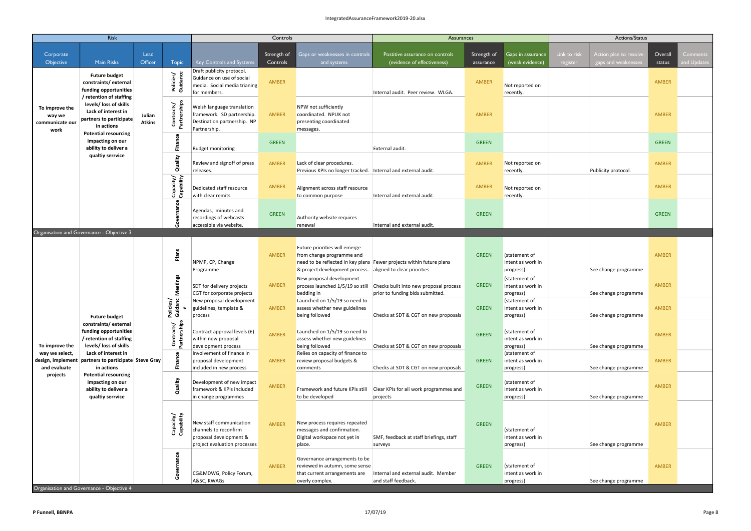|                                                     | Risk                                                                                                                  |                         |                                      |                                                                                                            | Controls                |                                                                                                                          | Assurances                                                                 |                          |                                                 | Actions/Status                                                            |                   |                         |  |
|-----------------------------------------------------|-----------------------------------------------------------------------------------------------------------------------|-------------------------|--------------------------------------|------------------------------------------------------------------------------------------------------------|-------------------------|--------------------------------------------------------------------------------------------------------------------------|----------------------------------------------------------------------------|--------------------------|-------------------------------------------------|---------------------------------------------------------------------------|-------------------|-------------------------|--|
| Corporate<br>Objective                              | <b>Main Risks</b>                                                                                                     | Lead<br>Officer         | <b>Topic</b>                         | <b>Key Controls and Systems</b>                                                                            | Strength of<br>Controls | Gaps or weaknesses in controls<br>and systems                                                                            | Postitive assurance on controls<br>(evidence of effectiveness)             | Strength of<br>assurance | Gaps in assurance<br>(weak evidence)            | Link to risl<br>Action plan to resolve<br>register<br>gaps and weaknesses | Overall<br>status | Comments<br>and Updates |  |
|                                                     | <b>Future budget</b><br>constraints/external<br>funding opportunities<br>/ retention of staffing                      |                         | Policies/<br>Guidance                | Draft publicity protocol.<br>Guidance on use of social<br>media. Social media trianing<br>for members.     | AMBER                   |                                                                                                                          | Internal audit. Peer review. WLGA.                                         | AMBER                    | Not reported on<br>recently.                    |                                                                           | AMBER             |                         |  |
| To improve the<br>way we<br>communicate our<br>work | levels/ loss of skills<br>Lack of interest in<br>partners to participate<br>in actions<br><b>Potential resourcing</b> | Julian<br><b>Atkins</b> | Contracts/<br>Partnerships           | Welsh language translation<br>framework. SD partnership.<br>Destination partnership. NP<br>Partnership.    | <b>AMBER</b>            | NPW not sufficiently<br>coordinated. NPUK not<br>presenting coordinated<br>messages.                                     |                                                                            | AMBER                    |                                                 |                                                                           | AMBER             |                         |  |
|                                                     | impacting on our<br>ability to deliver a                                                                              |                         | Finan                                | <b>Budget monitoring</b>                                                                                   | <b>GREEN</b>            |                                                                                                                          | External audit.                                                            | <b>GREEN</b>             |                                                 |                                                                           | <b>GREEN</b>      |                         |  |
|                                                     | qualtiy serrvice                                                                                                      |                         | Quality                              | Review and signoff of press<br>releases.                                                                   | AMBER                   | Lack of clear procedures.<br>Previous KPIs no longer tracked.   Internal and external audit.                             |                                                                            | AMBER                    | Not reported on<br>recently.                    | Publicity protocol.                                                       | AMBER             |                         |  |
|                                                     |                                                                                                                       |                         | Capacity/<br>Capability              | Dedicated staff resource<br>with clear remits.                                                             | AMBER                   | Alignment across staff resource<br>to common purpose                                                                     | Internal and external audit.                                               | <b>AMBER</b>             | Not reported on<br>recently.                    |                                                                           | AMBER             |                         |  |
|                                                     |                                                                                                                       |                         |                                      | Agendas, minutes and<br>recordings of webcasts<br>accessible via website.                                  | <b>GREEN</b>            | Authority website requires<br>renewal                                                                                    | Internal and external audit.                                               | <b>GREEN</b>             |                                                 |                                                                           | <b>GREEN</b>      |                         |  |
|                                                     | Organisation and Governance - Objective 3                                                                             |                         |                                      |                                                                                                            |                         |                                                                                                                          |                                                                            |                          |                                                 |                                                                           |                   |                         |  |
|                                                     |                                                                                                                       |                         | Plans                                | NPMP, CP, Change<br>Programme                                                                              | AMBER                   | Future priorities will emerge<br>from change programme and<br>& project development process. aligned to clear priorities | need to be reflected in key plans   Fewer projects within future plans     | <b>GREEN</b>             | (statement of<br>intent as work in<br>progress) | See change programme                                                      | AMBER             |                         |  |
|                                                     |                                                                                                                       |                         | eetings<br>Σ                         | SDT for delivery projects<br>CGT for corporate projects                                                    | AMBER                   | New proposal development<br>process launched 1/5/19 so still<br>bedding in                                               | Checks built into new proposal process<br>prior to funding bids submitted. | <b>GREEN</b>             | (statement of<br>intent as work in<br>progress) | See change programme                                                      | AMBER             |                         |  |
|                                                     | <b>Future budget</b>                                                                                                  |                         | olicies/<br>$\mathbf{\omega}$<br>Σ Ο | New proposal development<br>guidelines, template &<br>process                                              | <b>AMBER</b>            | Launched on 1/5/19 so need to<br>assess whether new guidelines<br>being followed                                         | Checks at SDT & CGT on new proposals                                       | <b>GREEN</b>             | (statement of<br>intent as work in<br>progress) | See change programme                                                      | AMBER             |                         |  |
| To improve the                                      | constraints/external<br>funding opportunities<br>/ retention of staffing<br>levels/ loss of skills                    |                         | Contracts/<br>Partnerships           | Contract approval levels (£)<br>within new proposal<br>development process                                 | AMBER                   | Launched on 1/5/19 so need to<br>assess whether new guidelines<br>being followed                                         | Checks at SDT & CGT on new proposals                                       | <b>GREEN</b>             | (statement of<br>intent as work in<br>progress) | See change programme                                                      | AMBER             |                         |  |
| way we select,<br>and evaluate                      | Lack of interest in<br>design, implement partners to participate Steve Gray<br>in actions                             |                         |                                      | Involvement of finance in<br>proposal development<br>included in new process                               | AMBER                   | Relies on capacity of finance to<br>review proposal budgets &<br>comments                                                | Checks at SDT & CGT on new proposals                                       | <b>GREEN</b>             | (statement of<br>intent as work in<br>progress) | See change programme                                                      | AMBER             |                         |  |
| projects                                            | <b>Potential resourcing</b><br>impacting on our<br>ability to deliver a<br>qualtiy serrvice                           |                         | Quality                              | Development of new impact<br>framework & KPIs included<br>in change programmes                             | AMBER                   | Framework and future KPIs still<br>to be developed                                                                       | Clear KPIs for all work programmes and<br>projects                         | <b>GREEN</b>             | (statement of<br>intent as work in<br>progress) | See change programme                                                      | AMBER             |                         |  |
|                                                     |                                                                                                                       |                         | Capacity/<br>Capability              | New staff communication<br>channels to reconfirm<br>proposal development &<br>project evaluation processes | AMBER                   | New process requires repeated<br>messages and confirmation.<br>Digital workspace not yet in<br>place.                    | SMF, feedback at staff briefings, staff<br>surveys                         | <b>GREEN</b>             | (statement of<br>intent as work in<br>progress) | See change programme                                                      | AMBER             |                         |  |
|                                                     | Organisation and Governance - Objective 4                                                                             |                         | nance                                | CG&MDWG, Policy Forum,<br>A&SC, KWAGs                                                                      | AMBER                   | Governance arrangements to be<br>reviewed in autumn, some sense<br>that current arrangements are<br>overly complex.      | Internal and external audit. Member<br>and staff feedback.                 | <b>GREEN</b>             | (statement of<br>intent as work in<br>progress) | See change programme                                                      | AMBER             |                         |  |